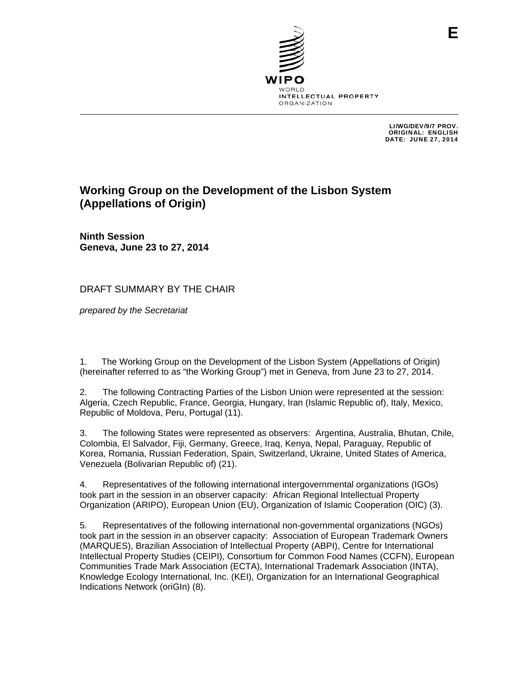

LI/WG/DEV/9/7 PROV. ORIGINAL: ENGLISH DATE: JUNE 27, 2014

# **Working Group on the Development of the Lisbon System (Appellations of Origin)**

**Ninth Session Geneva, June 23 to 27, 2014** 

DRAFT SUMMARY BY THE CHAIR

*prepared by the Secretariat*

1. The Working Group on the Development of the Lisbon System (Appellations of Origin) (hereinafter referred to as "the Working Group") met in Geneva, from June 23 to 27, 2014.

2. The following Contracting Parties of the Lisbon Union were represented at the session: Algeria, Czech Republic, France, Georgia, Hungary, Iran (Islamic Republic of), Italy, Mexico, Republic of Moldova, Peru, Portugal (11).

3. The following States were represented as observers: Argentina, Australia, Bhutan, Chile, Colombia, El Salvador, Fiji, Germany, Greece, Iraq, Kenya, Nepal, Paraguay, Republic of Korea, Romania, Russian Federation, Spain, Switzerland, Ukraine, United States of America, Venezuela (Bolivarian Republic of) (21).

4. Representatives of the following international intergovernmental organizations (IGOs) took part in the session in an observer capacity: African Regional Intellectual Property Organization (ARIPO), European Union (EU), Organization of Islamic Cooperation (OIC) (3).

5. Representatives of the following international non-governmental organizations (NGOs) took part in the session in an observer capacity: Association of European Trademark Owners (MARQUES), Brazilian Association of Intellectual Property (ABPI), Centre for International Intellectual Property Studies (CEIPI), Consortium for Common Food Names (CCFN), European Communities Trade Mark Association (ECTA), International Trademark Association (INTA), Knowledge Ecology International, Inc. (KEI), Organization for an International Geographical Indications Network (oriGIn) (8).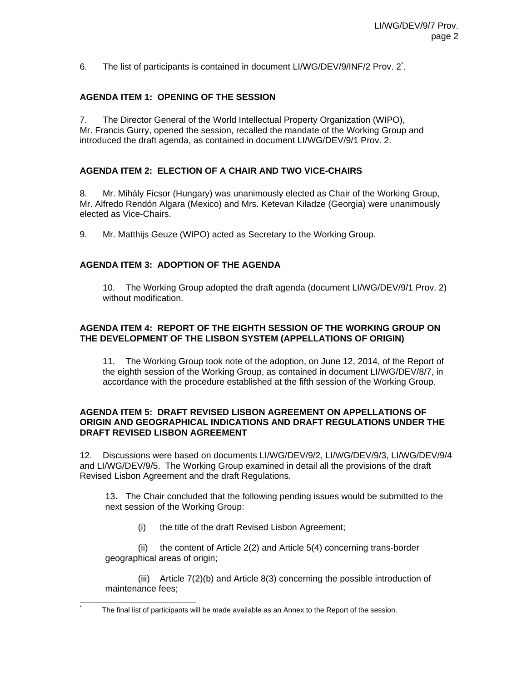6. The list of participants is contained in document LI/WG/DEV/9/INF/2 Prov. 2<sup>\*</sup>.

### **AGENDA ITEM 1: OPENING OF THE SESSION**

7. The Director General of the World Intellectual Property Organization (WIPO), Mr. Francis Gurry, opened the session, recalled the mandate of the Working Group and introduced the draft agenda, as contained in document LI/WG/DEV/9/1 Prov. 2.

#### **AGENDA ITEM 2: ELECTION OF A CHAIR AND TWO VICE-CHAIRS**

8. Mr. Mihály Ficsor (Hungary) was unanimously elected as Chair of the Working Group, Mr. Alfredo Rendón Algara (Mexico) and Mrs. Ketevan Kiladze (Georgia) were unanimously elected as Vice-Chairs.

9. Mr. Matthijs Geuze (WIPO) acted as Secretary to the Working Group.

#### **AGENDA ITEM 3: ADOPTION OF THE AGENDA**

l \*

10. The Working Group adopted the draft agenda (document LI/WG/DEV/9/1 Prov. 2) without modification.

#### **AGENDA ITEM 4: REPORT OF THE EIGHTH SESSION OF THE WORKING GROUP ON THE DEVELOPMENT OF THE LISBON SYSTEM (APPELLATIONS OF ORIGIN)**

11. The Working Group took note of the adoption, on June 12, 2014, of the Report of the eighth session of the Working Group, as contained in document LI/WG/DEV/8/7, in accordance with the procedure established at the fifth session of the Working Group.

#### **AGENDA ITEM 5: DRAFT REVISED LISBON AGREEMENT ON APPELLATIONS OF ORIGIN AND GEOGRAPHICAL INDICATIONS AND DRAFT REGULATIONS UNDER THE DRAFT REVISED LISBON AGREEMENT**

12. Discussions were based on documents LI/WG/DEV/9/2, LI/WG/DEV/9/3, LI/WG/DEV/9/4 and LI/WG/DEV/9/5. The Working Group examined in detail all the provisions of the draft Revised Lisbon Agreement and the draft Regulations.

 13. The Chair concluded that the following pending issues would be submitted to the next session of the Working Group:

(i) the title of the draft Revised Lisbon Agreement;

(ii) the content of Article 2(2) and Article 5(4) concerning trans-border geographical areas of origin;

(iii) Article 7(2)(b) and Article 8(3) concerning the possible introduction of maintenance fees;

The final list of participants will be made available as an Annex to the Report of the session.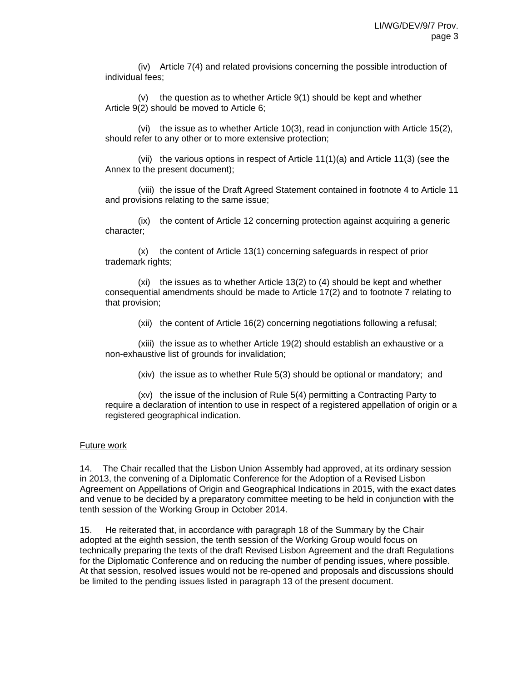(iv) Article 7(4) and related provisions concerning the possible introduction of individual fees;

(v) the question as to whether Article 9(1) should be kept and whether Article 9(2) should be moved to Article 6;

(vi) the issue as to whether Article 10(3), read in conjunction with Article 15(2), should refer to any other or to more extensive protection;

(vii) the various options in respect of Article  $11(1)(a)$  and Article  $11(3)$  (see the Annex to the present document);

(viii) the issue of the Draft Agreed Statement contained in footnote 4 to Article 11 and provisions relating to the same issue;

(ix) the content of Article 12 concerning protection against acquiring a generic character;

(x) the content of Article 13(1) concerning safeguards in respect of prior trademark rights;

(xi) the issues as to whether Article 13(2) to (4) should be kept and whether consequential amendments should be made to Article 17(2) and to footnote 7 relating to that provision;

(xii) the content of Article 16(2) concerning negotiations following a refusal;

(xiii) the issue as to whether Article 19(2) should establish an exhaustive or a non-exhaustive list of grounds for invalidation;

(xiv) the issue as to whether Rule 5(3) should be optional or mandatory; and

(xv) the issue of the inclusion of Rule 5(4) permitting a Contracting Party to require a declaration of intention to use in respect of a registered appellation of origin or a registered geographical indication.

#### Future work

14. The Chair recalled that the Lisbon Union Assembly had approved, at its ordinary session in 2013, the convening of a Diplomatic Conference for the Adoption of a Revised Lisbon Agreement on Appellations of Origin and Geographical Indications in 2015, with the exact dates and venue to be decided by a preparatory committee meeting to be held in conjunction with the tenth session of the Working Group in October 2014.

15. He reiterated that, in accordance with paragraph 18 of the Summary by the Chair adopted at the eighth session, the tenth session of the Working Group would focus on technically preparing the texts of the draft Revised Lisbon Agreement and the draft Regulations for the Diplomatic Conference and on reducing the number of pending issues, where possible. At that session, resolved issues would not be re-opened and proposals and discussions should be limited to the pending issues listed in paragraph 13 of the present document.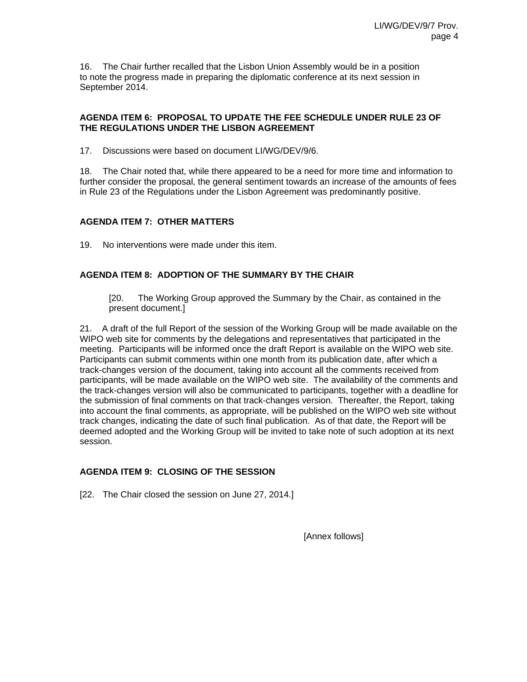16. The Chair further recalled that the Lisbon Union Assembly would be in a position to note the progress made in preparing the diplomatic conference at its next session in September 2014.

### **AGENDA ITEM 6: PROPOSAL TO UPDATE THE FEE SCHEDULE UNDER RULE 23 OF THE REGULATIONS UNDER THE LISBON AGREEMENT**

17. Discussions were based on document LI/WG/DEV/9/6.

18. The Chair noted that, while there appeared to be a need for more time and information to further consider the proposal, the general sentiment towards an increase of the amounts of fees in Rule 23 of the Regulations under the Lisbon Agreement was predominantly positive.

#### **AGENDA ITEM 7: OTHER MATTERS**

19. No interventions were made under this item.

# **AGENDA ITEM 8: ADOPTION OF THE SUMMARY BY THE CHAIR**

[20. The Working Group approved the Summary by the Chair, as contained in the present document.]

21. A draft of the full Report of the session of the Working Group will be made available on the WIPO web site for comments by the delegations and representatives that participated in the meeting. Participants will be informed once the draft Report is available on the WIPO web site. Participants can submit comments within one month from its publication date, after which a track-changes version of the document, taking into account all the comments received from participants, will be made available on the WIPO web site. The availability of the comments and the track-changes version will also be communicated to participants, together with a deadline for the submission of final comments on that track-changes version. Thereafter, the Report, taking into account the final comments, as appropriate, will be published on the WIPO web site without track changes, indicating the date of such final publication. As of that date, the Report will be deemed adopted and the Working Group will be invited to take note of such adoption at its next session.

# **AGENDA ITEM 9: CLOSING OF THE SESSION**

[22. The Chair closed the session on June 27, 2014.]

[Annex follows]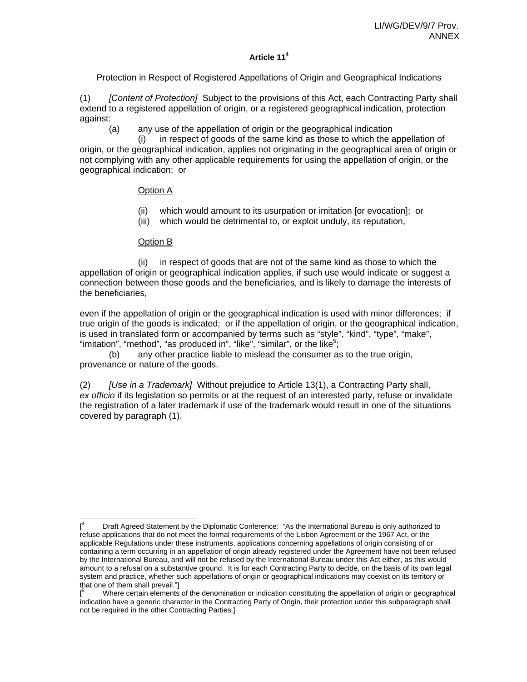# **Article 114**

Protection in Respect of Registered Appellations of Origin and Geographical Indications

(1) *[Content of Protection]* Subject to the provisions of this Act, each Contracting Party shall extend to a registered appellation of origin, or a registered geographical indication, protection against:

(a) any use of the appellation of origin or the geographical indication

(i) in respect of goods of the same kind as those to which the appellation of origin, or the geographical indication, applies not originating in the geographical area of origin or not complying with any other applicable requirements for using the appellation of origin, or the geographical indication; or

# Option A

- (ii) which would amount to its usurpation or imitation [or evocation]; or
- (iii) which would be detrimental to, or exploit unduly, its reputation,

#### Option B

 (ii) in respect of goods that are not of the same kind as those to which the appellation of origin or geographical indication applies, if such use would indicate or suggest a connection between those goods and the beneficiaries, and is likely to damage the interests of the beneficiaries,

even if the appellation of origin or the geographical indication is used with minor differences; if true origin of the goods is indicated; or if the appellation of origin, or the geographical indication, is used in translated form or accompanied by terms such as "style", "kind", "type", "make", "imitation", "method", "as produced in", "like", "similar", or the like<sup>5</sup>;

 (b) any other practice liable to mislead the consumer as to the true origin, provenance or nature of the goods.

(2) *[Use in a Trademark]* Without prejudice to Article 13(1), a Contracting Party shall, *ex officio* if its legislation so permits or at the request of an interested party, refuse or invalidate the registration of a later trademark if use of the trademark would result in one of the situations covered by paragraph (1).

 $\overline{a}$  $[$ <sup>4</sup> Draft Agreed Statement by the Diplomatic Conference: "As the International Bureau is only authorized to refuse applications that do not meet the formal requirements of the Lisbon Agreement or the 1967 Act, or the applicable Regulations under these instruments, applications concerning appellations of origin consisting of or containing a term occurring in an appellation of origin already registered under the Agreement have not been refused by the International Bureau, and will not be refused by the International Bureau under this Act either, as this would amount to a refusal on a substantive ground. It is for each Contracting Party to decide, on the basis of its own legal system and practice, whether such appellations of origin or geographical indications may coexist on its territory or that one of them shall prevail."]

<sup>[</sup> 5 Where certain elements of the denomination or indication constituting the appellation of origin or geographical indication have a generic character in the Contracting Party of Origin, their protection under this subparagraph shall not be required in the other Contracting Parties.]